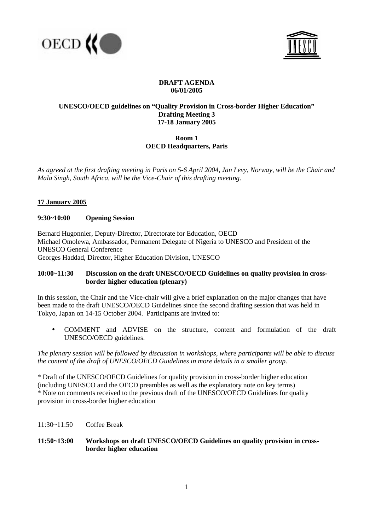



# **DRAFT AGENDA 06/01/2005**

## **UNESCO/OECD guidelines on "Quality Provision in Cross-border Higher Education" Drafting Meeting 3 17-18 January 2005**

# **Room 1 OECD Headquarters, Paris**

*As agreed at the first drafting meeting in Paris on 5-6 April 2004, Jan Levy, Norway, will be the Chair and Mala Singh, South Africa, will be the Vice-Chair of this drafting meeting.* 

## **17 January 2005**

### **9:30~10:00 Opening Session**

Bernard Hugonnier, Deputy-Director, Directorate for Education, OECD Michael Omolewa, Ambassador, Permanent Delegate of Nigeria to UNESCO and President of the UNESCO General Conference Georges Haddad, Director, Higher Education Division, UNESCO

## **10:00~11:30 Discussion on the draft UNESCO/OECD Guidelines on quality provision in cross border higher education (plenary)**

In this session, the Chair and the Vice-chair will give a brief explanation on the major changes that have been made to the draft UNESCO/OECD Guidelines since the second drafting session that was held in Tokyo, Japan on 14-15 October 2004. Participants are invited to:

• COMMENT and ADVISE on the structure, content and formulation of the draft UNESCO/OECD guidelines.

*The plenary session will be followed by discussion in workshops, where participants will be able to discuss the content of the draft of UNESCO/OECD Guidelines in more details in a smaller group.* 

\* Draft of the UNESCO/OECD Guidelines for quality provision in cross-border higher education (including UNESCO and the OECD preambles as well as the explanatory note on key terms) \* Note on comments received to the previous draft of the UNESCO/OECD Guidelines for quality provision in cross-border higher education

11:30~11:50 Coffee Break

### **11:50~13:00 Workshops on draft UNESCO/OECD Guidelines on quality provision in cross border higher education**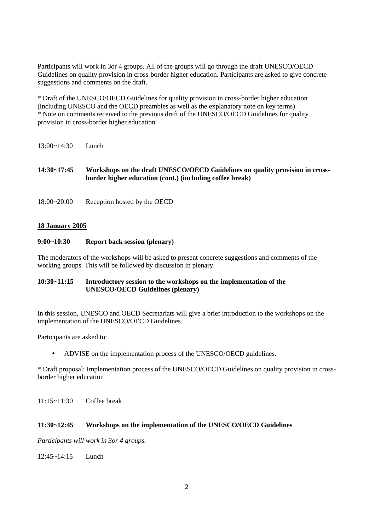Participants will work in 3or 4 groups. All of the groups will go through the draft UNESCO/OECD Guidelines on quality provision in cross-border higher education. Participants are asked to give concrete suggestions and comments on the draft.

\* Draft of the UNESCO/OECD Guidelines for quality provision in cross-border higher education (including UNESCO and the OECD preambles as well as the explanatory note on key terms) \* Note on comments received to the previous draft of the UNESCO/OECD Guidelines for quality provision in cross-border higher education

- 13:00~14:30 Lunch
- **14:30~17:45 Workshops on the draft UNESCO/OECD Guidelines on quality provision in cross border higher education (cont.) (including coffee break)**
- 18:00~20:00 Reception hosted by the OECD

#### **18 January 2005**

#### **9:00~10:30 Report back session (plenary)**

The moderators of the workshops will be asked to present concrete suggestions and comments of the working groups. This will be followed by discussion in plenary.

### **10:30~11:15 Introductory session to the workshops on the implementation of the UNESCO/OECD Guidelines (plenary)**

In this session, UNESCO and OECD Secretariats will give a brief introduction to the workshops on the implementation of the UNESCO/OECD Guidelines.

Participants are asked to:

• ADVISE on the implementation process of the UNESCO/OECD guidelines.

\* Draft proposal: Implementation process of the UNESCO/OECD Guidelines on quality provision in crossborder higher education

11:15~11:30 Coffee break

#### **11:30~12:45 Workshops on the implementation of the UNESCO/OECD Guidelines**

*Participants will work in 3or 4 groups.* 

12:45~14:15 Lunch